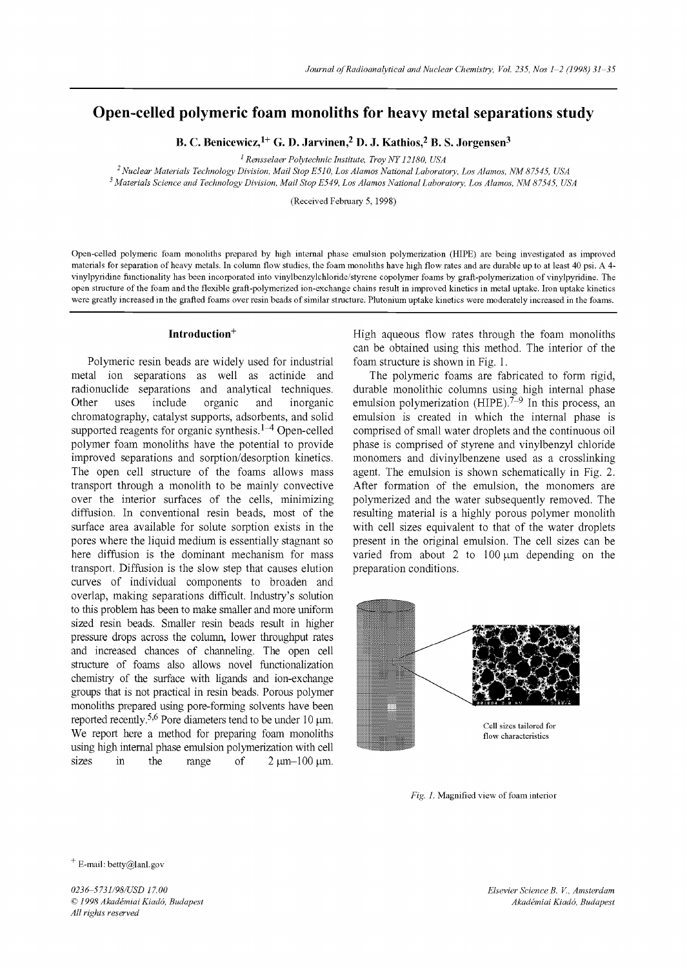# **Open-celled polymeric foam monoliths for heavy metal separations study**

**B. C. Benicewicz, 1+ G. D. Jarvinen, 2 D. J. Kathios, 2 B. S. Jorgensen 3** 

*1 Rensselaer Polytechnic Institute, Troy NY 12180, USA* 

*2 Nuclear Materials' Technology Division, Mail Stop E51 O, Los Alamos National Laboratory, Los Alamos, NM 87545, USA 3 Materials Science and Technology Division, Mail Stop E549, Los Alamos National Laboratory, Los Alamos, NM 87545, USA* 

(Received February 5, 1998)

Open-celled polymeric foam monoliths prepared by high internal phase emulsion polymerization (HIPE) are being investigated as improved materials for separation of heavy metals. In column flow studies, the foam monoliths have high flow rates and are durable up to at least 40 psi. A 4 vinylpyndine functionality has been incorporated into vinylbenzylchloride/styrene copolymer foams by graft-polymerization of vinylpyridine. The open stmcture of the foam and the flexible graft-polymerized ion-exchange chains result in improved kinetics in metal uptake. Iron uptake kinetics were greatly increased in the grafted foams over resin beads of similar stmcture. Plutonium uplake kinetics were moderately increased in the foams.

#### Introduction<sup>+</sup>

Polymeric resin beads are widely used for industrial metal ion separations as well as actinide and radionuclide separations and analytical techniques. Other uses include organic and inorganic chromatography, catalyst supports, adsorbents, and solid supported reagents for organic synthesis.<sup>1–4</sup> Open-celled polymer foam monoliths have the potential to provide improved separations and sorption/desorption kinetics. The open cell structure of the foams allows mass transport through a monolith to be mainly convective over the interior surfaces of the cells, minimizing diffusion. In conventional resin beads, most of the surface area available for solute sorption exists in the pores where the liquid medium is essentially stagnant so here diffusion is the dominant mechanism for mass transport. Diffusion is the slow step that causes elution curves of individual components to broaden and overlap, making separations difficult. Industry's solution to this problem has been to make smaller and more uniform sized resin beads. Smaller resin beads result in higher pressure drops across the column, lower throughput rates and increased chances of channeling. The open cell structure of foams also allows novel functionalization chemistry of the surface with ligands and ion-exchange groups that is not practical in resin beads. Porous polymer monoliths prepared using pore-forming solvents have been reported recently.<sup>5,6</sup> Pore diameters tend to be under 10  $\mu$ m. We report here a method for preparing foam monoliths using high internal phase emulsion polymerization with cell sizes in the range of  $2 \mu m-100 \mu m$ .

High aqueous flow rates through the foam monoliths can be obtained using this method. The interior of the foam structure is shown in Fig. 1.

The polymeric foams are fabricated to form rigid, durable monolithic columns using high internal phase emulsion polymerization (HIPE).<sup> $7-9$ </sup> In this process, an emulsion is created in which the internal phase is comprised of small water droplets and the continuous oil phase is comprised of styrene and vinylbenzyl chloride monomers and divinylbenzene used as a crosslinking agent. The emulsion is shown schematically in Fig. 2. After formation of the emulsion, the monomers are polymerized and the water subsequently removed. The resulting material is a highly porous polymer monolith with cell sizes equivalent to that of the water droplets present in the original emulsion. The cell sizes can be varied from about 2 to  $100 \mu m$  depending on the preparation conditions.



*Fig. 1.* Magnified view of foam interior

<sup>+</sup> E-mail: betty@lanl.gov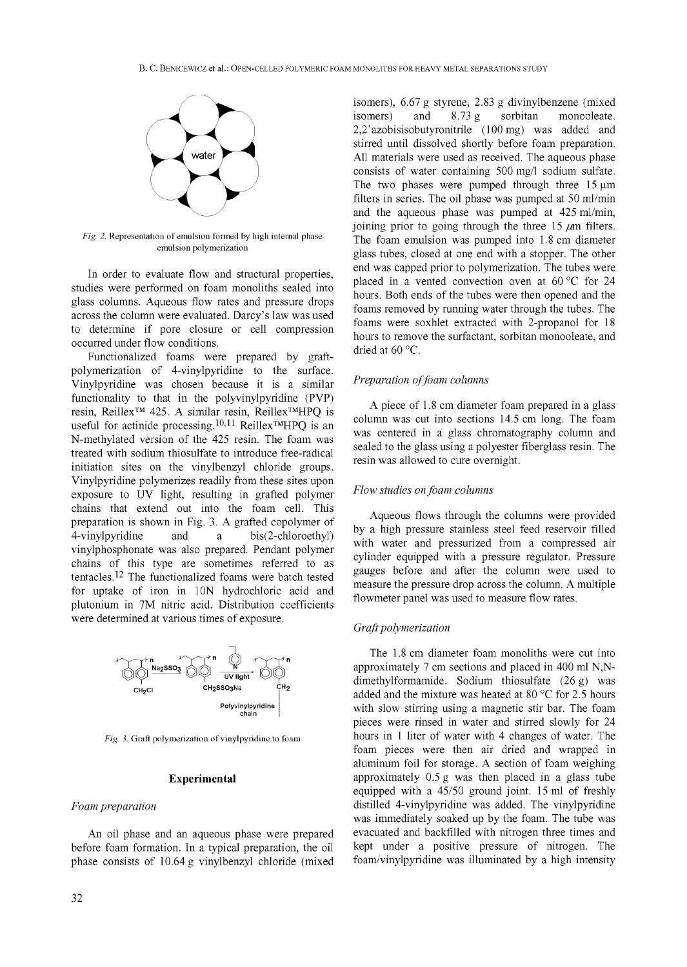

*Fig. 2.* Representation of emulsion formed by high internal phase emulsion polymerization

In order to evaluate flow and structural properties, studies were performed on foam monoliths sealed into glass columns. Aqueous flow rates and pressure drops across the column were evaluated. Darcy's law was used to determine if pore closure or cell compression occurred under flow conditions.

Functionalized foams were prepared by graftpolymerization of 4-vinylpyridine to the surface. Vinylpyridine was chosen because it is a similar functionality to that in the polyvinylpyridine (PVP) resin, Reillex<sup>™</sup> 425. A similar resin, Reillex<sup>™</sup>HPQ is useful for actinide processing.<sup>10,11</sup> Reillex<sup>TM</sup>HPQ is an N-methylated version of the 425 resin. The foam was treated with sodium thiosulfate to introduce free-radical initiation sites on the vinylbenzyl chloride groups. Vinylpyridine polymerizes readily from these sites upon exposure to UV light, resulting in grafted polymer chains that extend out into the foam cell. This preparation is shown in Fig. 3. A grafted copolymer of 4-vinylpyridine and a bis(2-chloroethyl) vinylphosphonate was also prepared. Pendant polymer chains of this type are sometimes referred to as tentacles. 12 The functionalized foams were batch tested for uptake of iron in 10N hydrochloric acid and plutonium in 7M nitric acid. Distribution coefficients were determined at various times of exposure.



*Fig. 3.* Graft polymerization of vinylpyridine to foam

#### **Experimental**

# *Foam preparation*

An oil phase and an aqueous phase were prepared before foam formation. In a typical preparation, the oil phase consists of 10.64 g vinylbenzyl chloride (mixed isomers), 6.67 g styrene, 2.83 g divinylbenzene (mixed isomers) and 8.73 g sorbitan monooleate. 2,2'azobisisobutyronitrile (100mg) was added and stirred until dissolved shortly before foam preparation. All materials were used as received. The aqueous phase consists of water containing 500 mg/1 sodium sulfate. The two phases were pumped through three  $15 \mu m$ filters in series. The oil phase was pumped at 50 ml/min and the aqueous phase was pumped at 425 ml/min, joining prior to going through the three 15  $\mu$ m filters. The foam emulsion was pumped into 1.8 cm diameter glass tubes, closed at one end with a stopper. The other end was capped prior to polymerization. The tubes were placed in a vented convection oven at  $60^{\circ}$ C for 24 hours. Both ends of the tubes were then opened and the foams removed by running water through the tubes. The foams were soxhlet extracted with 2-propanol for 18 hours to remove the surfactant, sorbitan monooleate, and dried at 60 °C.

## *Preparation of foam columns*

A piece of 1.8 cm diameter foam prepared in a glass column was cut into sections 14.5 cm long. The foam was centered in a glass chromatography column and sealed to the glass using a polyester fiberglass resin. The resin was allowed to cure overnight.

# *Flow studies on Joam columns*

Aqueous flows through the columns were provided by a high pressure stainless steel feed reservoir filled with water and pressurized from a compressed air cylinder equipped with a pressure regulator. Pressure gauges before and after the column were used to measure the pressure drop across the column. A multiple flowmeter panel was used to measure flow rates.

# *Grafi polymerization*

The 1.8 cm diameter foam monoliths were cut into approximately 7 cm sections and placed in 400 ml N,Ndimethylformamide. Sodium thiosulfate (26 g) was added and the mixture was heated at 80  $^{\circ}$ C for 2.5 hours with slow stirring using a magnetic stir bar. The foam pieces were rinsed in water and stirred slowly for 24 hours in 1 liter of water with 4 changes of water. The foam pieces were then air dried and wrapped in aluminum foil for storage. A section of foam weighing approximately 0.5 g was then placed in a glass tube equipped with a 45/50 ground joint. 15 ml of freshly distilled 4-vinylpyridine was added. The vinylpyridine was immediately soaked up by the foam. The tube was evacuated and backfilled with nitrogen three times and kept under a positive pressure of nitrogen. The foam/vinylpyridine was illuminated by a high intensity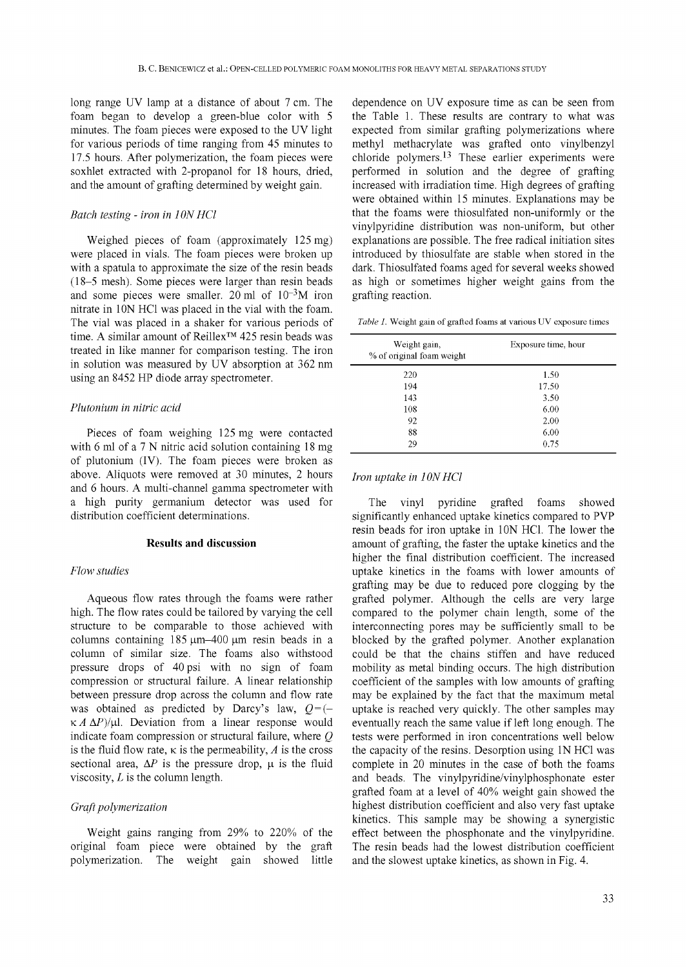long range UV lamp at a distance of about 7 cm. The foam began to develop a green-blue color with 5 minutes. The foam pieces were exposed to the UV light for various periods of time ranging from 45 minutes to 17.5 hours. After polymerization, the foam pieces were soxhlet extracted with 2-propanol for 18 hours, dried, and the amount of grafting determined by weight gain.

#### *Batch testing - iron in I ON HC1*

Weighed pieces of foam (approximately 125 mg) were placed in vials. The foam pieces were broken up with a spatula to approximate the size of the resin beads (18-5 mesh). Some pieces were larger than resin beads and some pieces were smaller. 20 ml of  $10^{-3}$ M iron nitrate in 10N HCl was placed in the vial with the foam. The vial was placed in a shaker for various periods of time. A similar amount of Reillex<sup>™</sup> 425 resin beads was treated in like manner for comparison testing. The iron in solution was measured by UV absorption at 362 nm using an 8452 HP diode array spectrometer.

## *Plutonium in nitric acid*

Pieces of foam weighing 125 mg were contacted with 6 ml of a 7 N nitric acid solution containing 18 mg of plutonium (IV). The foam pieces were broken as above. Aliquots were removed at 30 minutes, 2 hours and 6 hours. A multi-channel gamma spectrometer with a high purity germanium detector was used for distribution coefficient determinations.

## **Results and discussion**

# *Flow studies*

Aqueous flow rates through the foams were rather high. The flow rates could be tailored by varying the cell structure to be comparable to those achieved with columns containing  $185 \mu m - 400 \mu m$  resin beads in a column of similar size. The foams also withstood pressure drops of 40psi with no sign of foam compression or structural failure. A linear relationship between pressure drop across the column and flow rate was obtained as predicted by Darcy's law,  $Q=$  (–  $K A \Delta P$ /µl. Deviation from a linear response would indicate foam compression or structural failure, where Q is the fluid flow rate,  $\kappa$  is the permeability, A is the cross sectional area,  $\Delta P$  is the pressure drop,  $\mu$  is the fluid viscosity,  $L$  is the column length.

# *Grafi polymerization*

Weight gains ranging from 29% to 220% of the original foam piece were obtained by the graft polymerization. The weight gain showed little

dependence on UV exposure time as can be seen from the Table 1. These results are contrary to what was expected from similar grafting polymerizations where methyl methacrylate was grafted onto vinylbenzyl chloride polymers.<sup>13</sup> These earlier experiments were performed in solution and the degree of grafting increased with irradiation time. High degrees of grafting were obtained within 15 minutes. Explanations may be that the foams were thiosulfated non-uniformly or the vinylpyridine distribution was non-uniform, but other explanations are possible. The free radical initiation sites introduced by thiosulfate are stable when stored in the dark. Thiosulfated foams aged for several weeks showed as high or sometimes higher weight gains from the grafting reaction.

*Table 1.* Weight gain of grafted foams at various UV exposure times

| Weight gain,<br>% of original foam weight | Exposure time, hour |
|-------------------------------------------|---------------------|
| 220                                       | 1.50                |
| 194                                       | 17.50               |
| 143                                       | 3.50                |
| 108                                       | 6.00                |
| 92                                        | 2.00                |
| 88                                        | 6.00                |
| 29                                        | 0.75                |

#### *Iron uptake in 1 ON HC1*

The vinyl pyridine grafted foams showed significantly enhanced uptake kinetics compared to PVP resin beads for iron uptake in 10N HCl. The lower the amount of grafting, the faster the uptake kinetics and the higher the final distribution coefficient. The increased uptake kinetics in the foams with lower amounts of grafting may be due to reduced pore clogging by the grafted polymer. Although the cells are very large compared to the polymer chain length, some of the interconnecting pores may be sufficiently small to be blocked by the grafted polymer. Another explanation could be that the chains stiffen and have reduced mobility as metal binding occurs. The high distribution coefficient of the samples with low amounts of grafting may be explained by the fact that the maximum metal uptake is reached very quickly. The other samples may eventually reach the same value if left long enough. The tests were performed in iron concentrations well below the capacity of the resins. Desorption using 1N HC1 was complete in 20 minutes in the case of both the foams and beads. The vinylpyridine/vinylphosphonate ester grafted foam at a level of 40% weight gain showed the highest distribution coefficient and also very fast uptake kinetics. This sample may be showing a synergistic effect between the phosphonate and the vinylpyridine. The resin beads had the lowest distribution coefficient and the slowest uptake kinetics, as shown in Fig. 4.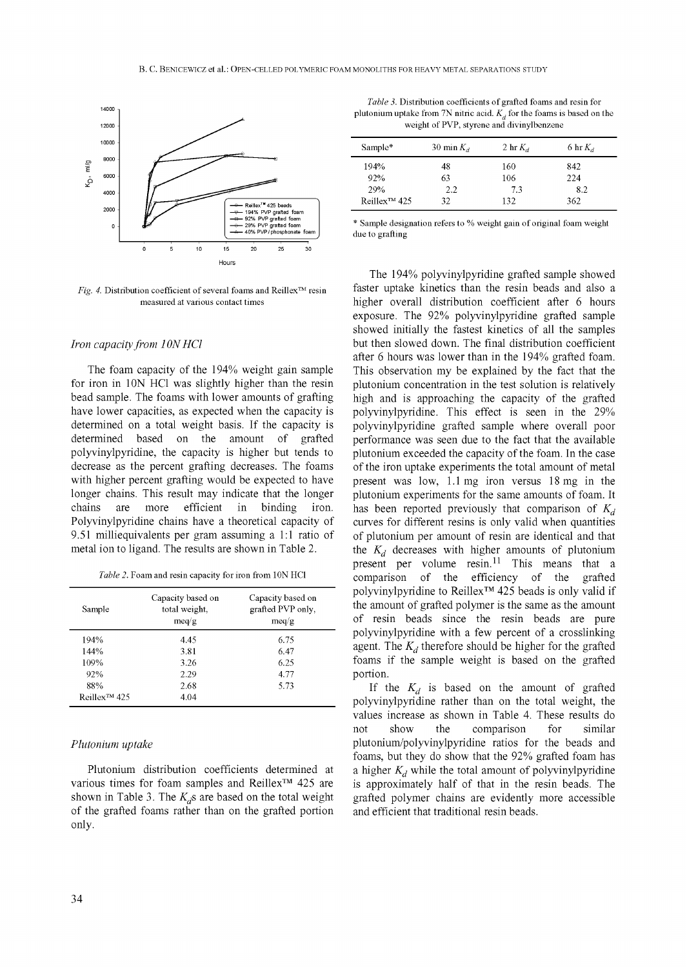

*Fig. 4.* Distribution coefficient of several foams and Reillex™ resin measured at various contact times

## Iron capacity from 10N HCl

The foam capacity of the 194% weight gain sample for iron in 10N HCl was slightly higher than the resin bead sample. The foams with lower amounts of grafting have lower capacities, as expected when the capacity is determined on a total weight basis. If the capacity is determined based on the amount of grafted polyvinylpyridine, the capacity is higher but tends to decrease as the percent grafting decreases. The foams with higher percent grafting would be expected to have longer chains. This result may indicate that the longer chains are more efficient in binding iron. Polyvinylpyridine chains have a theoretical capacity of 9.51 milliequivalents per gram assuming a 1:1 ratio of metal ion to ligand. The results are shown in Table 2.

| Table 2. Foam and resin capacity for iron from 10N HCl |  |  |
|--------------------------------------------------------|--|--|
|--------------------------------------------------------|--|--|

| Sample             | Capacity based on<br>total weight,<br>meq/g | Capacity based on<br>grafted PVP only,<br>meq/g |
|--------------------|---------------------------------------------|-------------------------------------------------|
| 194%               | 4.45                                        | 6.75                                            |
| 144%               | 3.81                                        | 6.47                                            |
| 109%               | 3.26                                        | 6.25                                            |
| 92%                | 2.29                                        | 4.77                                            |
| 88%                | 2.68                                        | 5.73                                            |
| $Reillex^{TM}$ 425 | 4.04                                        |                                                 |

#### *Plutonium uptake*

Plutonium distribution coefficients determined at various times for foam samples and Reillex<sup>™</sup> 425 are shown in Table 3. The  $K_d$ s are based on the total weight of the grafted foams rather than on the grafted portion only.

*Table 3.* Distribution coefficients of grafted foams and resin for plutonium uptake from 7N nitric acid.  $K_{d}$  for the foams is based on the weight of PVP, styrene and divinylbenzene

| Sample*                  | 30 min $K_d$ | 2 hr $K_d$ | 6 hr $K_d$ |
|--------------------------|--------------|------------|------------|
| 194%                     | 48           | 160        | 842        |
| 92%                      | 63           | 106        | 224        |
| 29%                      | 2.2          | 7.3        | 8.2        |
| Reillex <sup>™</sup> 425 | 32           | 132        | 362        |

\* Sample designation refers to % weight gain of original foam weight due to grafting

The 194% polyvinylpyridine grafted sample showed faster uptake kinetics than the resin beads and also a higher overall distribution coefficient after 6 hours exposure. The 92% polyvinylpyridine grafted sample showed initially the fastest kinetics of all the samples but then slowed down. The final distribution coefficient after 6 hours was lower than in the 194% grafted foam. This observation my be explained by the fact that the plutonium concentration in the test solution is relatively high and is approaching the capacity of the grafted polyvinylpyridine. This effect is seen in the 29% polyvinylpyridine grafted sample where overall poor performance was seen due to the fact that the available plutonium exceeded the capacity of the foam. In the case of the iron uptake experiments the total amount of metal present was low, 1.1 mg iron versus 18 mg in the plutonium experiments for the same amounts of foam. It has been reported previously that comparison of  $K_d$ curves for different resins is only valid when quantities of plutonium per amount of resin are identical and that the  $K_d$  decreases with higher amounts of plutonium present per volume  $resin<sup>11</sup>$  This means that a comparison of the efficiency of the grafted polyvinylpyridine to Reillex<sup>™</sup> 425 beads is only valid if the amount of grafted polymer is the same as the amount of resin beads since the resin beads are pure polyvinylpyridine with a few percent of a crosslinking agent. The  $K_d$  therefore should be higher for the grafted foams if the sample weight is based on the grafted portion.

If the  $K_d$  is based on the amount of grafted polyvinylpyridine rather than on the total weight, the values increase as shown in Table 4. These results do not show the comparison for similar plutonium/polyvinylpyridine ratios for the beads and foams, but they do show that the 92% grafted foam has a higher  $K_d$  while the total amount of polyvinylpyridine is approximately half of that in the resin beads. The grafted polymer chains are evidently more accessible and efficient that traditional resin beads.